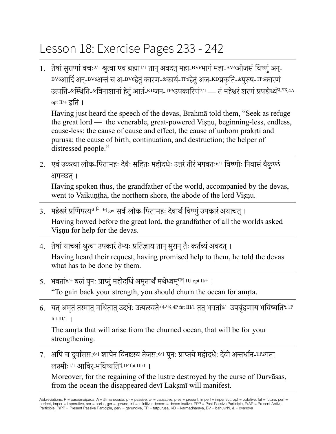## Lesson 18: Exercise Pages 233 - 242

1. तेषां सुराणां वचः<sup>2/1</sup> श्रुत्वा एव ब्रह्मा<sup>1/1</sup> तान् अवदत् महा-BV6भागं महा-BV6ओजसं विष्णुं अन्-BV6आदिं अन्-BV6अन्तंच अ-BV6हेतुंकारण-&कार्य-TP6हेतुंअज-KDप्रकृति-&पुरुष-TP6कारणं उत्पत्ति-&स्थिति-&विनाशानां हेतुं आर्त-KDजन-TP6उपकारिणं2/1 — तं महेश्वरं शरणं प्रपद्येध्वं<sup>प्र-पद्</sup> 4A opt II/+ इति ।

Having just heard the speech of the devas, Brahmā told them, "Seek as refuge the great lord — the venerable, great-powered Viṣṇu, beginning-less, endless, cause-less; the cause of cause and effect, the cause of unborn prakṛti and puruṣa; the cause of birth, continuation, and destruction; the helper of distressed people."

2. एवंउकत्वा लोक-पितामहः देवैः सहितः महोदधेः उत्तरंतीरंभगवतः6/1 विष्णोः निवासंवैकुण्ठं अगच्छत्।

Having spoken thus, the grandfather of the world, accompanied by the devas, went to Vaikuṇṭha, the northern shore, the abode of the lord Viṣṇu.

- 3. महेश्वरं प्रणिपत्य<sup>प्र-नि-पत्</sup> ger सर्व-लोक-पितामहः देवार्थं विष्णं उपकारं अयाचत् । Having bowed before the great lord, the grandfather of all the worlds asked Viṣṇu for help for the devas.
- 4. तेषां याच्ञां श्रुत्वा उपकारं तेभ्यः प्रतिज्ञाय तान् सुरान् तैः कर्तव्यं अवदत् । Having heard their request, having promised help to them, he told the devas what has to be done by them.
- 5. भवतां<sup>6/+</sup> बलं पुनः प्राप्तुं महोदधिं अमृतार्थं मथेध्वमृ<sup>मथ् 1U opt II/+ ।</sup> "To gain back your strength, you should churn the ocean for amṛta.
- 6. यत् अमृतं तस्मात् मथितात् उदधेः उत्पत्स्यते<sup>उत्-पद्</sup> 4P fut III/1 तत् भवतां6/+ उपबृंहणाय भविष्यति<sup>भू</sup> 1P fut  $III/1$  |

The amṛta that will arise from the churned ocean, that will be for your strengthening.

7. अपि च दुर्वाससः<sup>6/1</sup> शापेन विनष्टस्य तेजसः<sup>6/1</sup> पुनः प्राप्तये महोदधेः देवी अन्तर्धान-<sup>TP2</sup>गता लक्ष्मीः1/1 आविर-्भविष्यतिभू 1P fut III/1 ।

Moreover, for the regaining of the lustre destroyed by the curse of Durvāsas, from the ocean the disappeared devī Lakṣmī will manifest.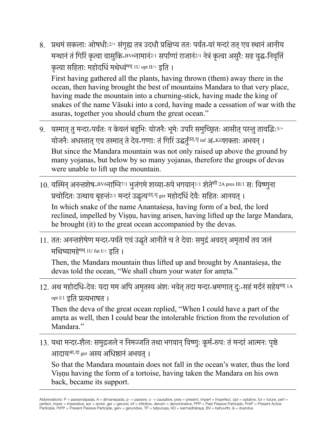8. प्रथमं सकलाः ओषधीः2/+ संगृह्य तत्र उदधौ प्रक्षिप्य ततः पर्वत-वरं मन्दरं तत् एव स्थानं आनीय मन्थानंतंगिरिं कृत्वा वासुकि-BV6नामानं2/1 सर्पाणांराजानं2/1 नेत्रंकृत्वा असुरैः सह युद्ध-निवृत्तिं कृत्वा सहिताः महोदधिं मथेध्वंमथ् 1U opt II/+ इति ।

First having gathered all the plants, having thrown (them) away there in the ocean, then having brought the best of mountains Mandara to that very place, having made the mountain into a churning-stick, having made the king of snakes of the name Vāsuki into a cord, having made a cessation of war with the asuras, together you should churn the great ocean."

- 9. यस्मात् तु मन्दर-पर्वतः न केवलं बहुभिः योजनैः भूमेः उपरि समुच्छितः आसीत् परन्तु तावद्भिः <sup>3/+</sup> योजनैः अधस्तात् एव तस्मात् ते देव-गणाः तं गिरिं उद्धर्तं<sup>उत्.धृ</sup> inf अ-KDशक्ताः अभवन् । But since the Mandara mountain was not only raised up above the ground by many yojanas, but below by so many yojanas, therefore the groups of devas were unable to lift up the mountain.
- 10. यस्मिन् अनन्तशेष-BV6नाम्नि<sup>7/1</sup> भजंगमे शय्या-रूपे भगवान<sup>1/1</sup> शेते<sup>शी 2A pres III/1 सः विष्णुना</sup> प्रचोदितः उत्थाय बृहन्तं<sup>2/1</sup> मन्दरं उद्धृत्य<sup>उत्.धृ</sup> ger महोदधिं देवैः सहितः आनयत् ।

In which snake of the name Anantaśeṣa, having form of a bed, the lord reclined, impelled by Viṣṇu, having arisen, having lifted up the large Mandara, he brought (it) to the great ocean accompanied by the devas.

11. ततः अनन्तशेषेण मन्दर-पर्वते एवं उद्धृते आनीते च ते देवाः समुद्रं अवदन् अमृतार्थं तव जलं मथिष्यामहेमथ् 1U fut I/+ इति ।

Then, the Mandara mountain thus lifted up and brought by Anantaśeṣa, the devas told the ocean, "We shall churn your water for amṛta."

12. अथ महोदधि-देवः यदा मम अपि अमृतस्य अंशः भवेत् तदा मन्दर-भ्रमणात् दः-सहं मर्दनं सहेय<sup>सह्</sup> 1A opt I/1 इति प्रत्यभाषत ।

Then the deva of the great ocean replied, "When I could have a part of the amṛta as well, then I could bear the intolerable friction from the revolution of Mandara."

13. यथा मन्दर-शैलः समुद्रजले न निमज्जति तथा भगवान् विष्णुः कूर्म-रूपः तं मन्दरं आत्मनः पृष्ठे आदाय<sup>आ-दा</sup> ger अस्य अधिष्ठानं अभवत् ।

So that the Mandara mountain does not fall in the ocean's water, thus the lord Viṣṇu having the form of a tortoise, having taken the Mandara on his own back, became its support.